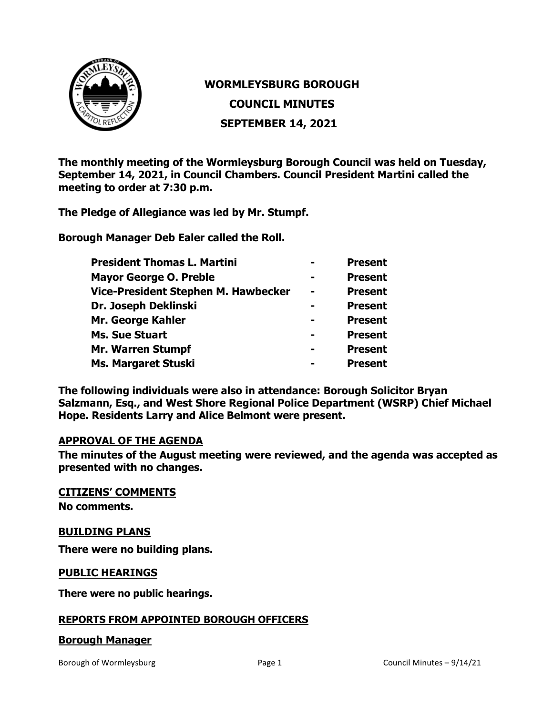

# **WORMLEYSBURG BOROUGH**

**COUNCIL MINUTES**

**SEPTEMBER 14, 2021**

**The monthly meeting of the Wormleysburg Borough Council was held on Tuesday, September 14, 2021, in Council Chambers. Council President Martini called the meeting to order at 7:30 p.m.**

**The Pledge of Allegiance was led by Mr. Stumpf.**

**Borough Manager Deb Ealer called the Roll.**

| <b>President Thomas L. Martini</b>  |                | <b>Present</b> |
|-------------------------------------|----------------|----------------|
| <b>Mayor George O. Preble</b>       |                | <b>Present</b> |
| Vice-President Stephen M. Hawbecker | $\blacksquare$ | <b>Present</b> |
| Dr. Joseph Deklinski                |                | <b>Present</b> |
| Mr. George Kahler                   |                | <b>Present</b> |
| <b>Ms. Sue Stuart</b>               |                | <b>Present</b> |
| <b>Mr. Warren Stumpf</b>            |                | <b>Present</b> |
| <b>Ms. Margaret Stuski</b>          |                | <b>Present</b> |

**The following individuals were also in attendance: Borough Solicitor Bryan Salzmann, Esq., and West Shore Regional Police Department (WSRP) Chief Michael Hope. Residents Larry and Alice Belmont were present.** 

### **APPROVAL OF THE AGENDA**

**The minutes of the August meeting were reviewed, and the agenda was accepted as presented with no changes.**

**CITIZENS' COMMENTS**

**No comments.**

### **BUILDING PLANS**

**There were no building plans.** 

### **PUBLIC HEARINGS**

**There were no public hearings.**

### **REPORTS FROM APPOINTED BOROUGH OFFICERS**

### **Borough Manager**

Borough of Wormleysburg The Council Minutes – 9/14/21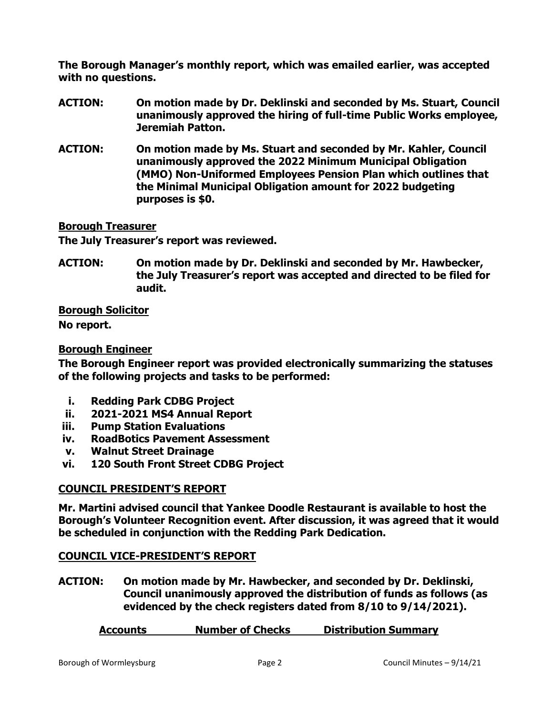**The Borough Manager's monthly report, which was emailed earlier, was accepted with no questions.**

- **ACTION: On motion made by Dr. Deklinski and seconded by Ms. Stuart, Council unanimously approved the hiring of full-time Public Works employee, Jeremiah Patton.**
- **ACTION: On motion made by Ms. Stuart and seconded by Mr. Kahler, Council unanimously approved the 2022 Minimum Municipal Obligation (MMO) Non-Uniformed Employees Pension Plan which outlines that the Minimal Municipal Obligation amount for 2022 budgeting purposes is \$0.**

# **Borough Treasurer**

**The July Treasurer's report was reviewed.**

**ACTION: On motion made by Dr. Deklinski and seconded by Mr. Hawbecker, the July Treasurer's report was accepted and directed to be filed for audit.**

**Borough Solicitor**

**No report.**

# **Borough Engineer**

**The Borough Engineer report was provided electronically summarizing the statuses of the following projects and tasks to be performed:**

- **i. Redding Park CDBG Project**
- **ii. 2021-2021 MS4 Annual Report**
- **iii. Pump Station Evaluations**
- **iv. RoadBotics Pavement Assessment**
- **v. Walnut Street Drainage**
- **vi. 120 South Front Street CDBG Project**

# **COUNCIL PRESIDENT'S REPORT**

**Mr. Martini advised council that Yankee Doodle Restaurant is available to host the Borough's Volunteer Recognition event. After discussion, it was agreed that it would be scheduled in conjunction with the Redding Park Dedication.**

### **COUNCIL VICE-PRESIDENT'S REPORT**

**ACTION: On motion made by Mr. Hawbecker, and seconded by Dr. Deklinski, Council unanimously approved the distribution of funds as follows (as evidenced by the check registers dated from 8/10 to 9/14/2021).**

### **Accounts Number of Checks Distribution Summary**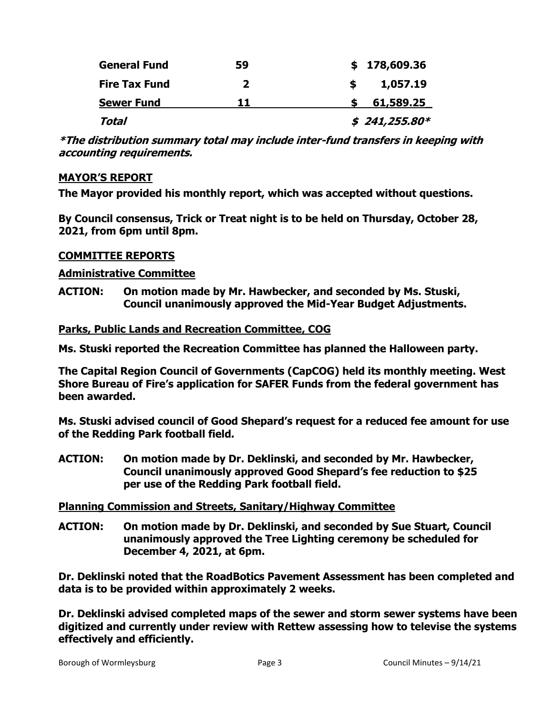| <b>General Fund</b>  | 59 | \$178,609.36   |
|----------------------|----|----------------|
| <b>Fire Tax Fund</b> | 2  | 1,057.19       |
| <b>Sewer Fund</b>    | 11 | 61,589.25      |
| Total                |    | $$241,255.80*$ |

**\*The distribution summary total may include inter-fund transfers in keeping with accounting requirements.** 

### **MAYOR'S REPORT**

**The Mayor provided his monthly report, which was accepted without questions.** 

**By Council consensus, Trick or Treat night is to be held on Thursday, October 28, 2021, from 6pm until 8pm.**

# **COMMITTEE REPORTS**

# **Administrative Committee**

**ACTION: On motion made by Mr. Hawbecker, and seconded by Ms. Stuski, Council unanimously approved the Mid-Year Budget Adjustments.** 

# **Parks, Public Lands and Recreation Committee, COG**

**Ms. Stuski reported the Recreation Committee has planned the Halloween party.**

**The Capital Region Council of Governments (CapCOG) held its monthly meeting. West Shore Bureau of Fire's application for SAFER Funds from the federal government has been awarded.** 

**Ms. Stuski advised council of Good Shepard's request for a reduced fee amount for use of the Redding Park football field.** 

**ACTION: On motion made by Dr. Deklinski, and seconded by Mr. Hawbecker, Council unanimously approved Good Shepard's fee reduction to \$25 per use of the Redding Park football field.** 

### **Planning Commission and Streets, Sanitary/Highway Committee**

**ACTION: On motion made by Dr. Deklinski, and seconded by Sue Stuart, Council unanimously approved the Tree Lighting ceremony be scheduled for December 4, 2021, at 6pm.** 

**Dr. Deklinski noted that the RoadBotics Pavement Assessment has been completed and data is to be provided within approximately 2 weeks.**

**Dr. Deklinski advised completed maps of the sewer and storm sewer systems have been digitized and currently under review with Rettew assessing how to televise the systems effectively and efficiently.**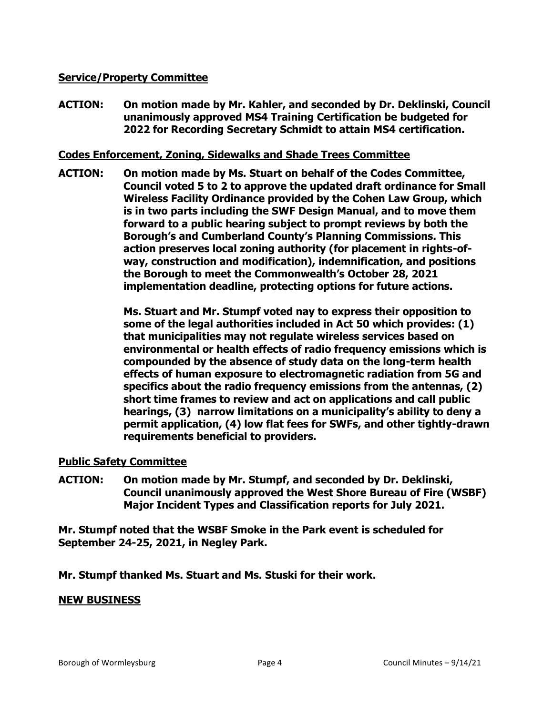## **Service/Property Committee**

**ACTION: On motion made by Mr. Kahler, and seconded by Dr. Deklinski, Council unanimously approved MS4 Training Certification be budgeted for 2022 for Recording Secretary Schmidt to attain MS4 certification.** 

### **Codes Enforcement, Zoning, Sidewalks and Shade Trees Committee**

**ACTION: On motion made by Ms. Stuart on behalf of the Codes Committee, Council voted 5 to 2 to approve the updated draft ordinance for Small Wireless Facility Ordinance provided by the Cohen Law Group, which is in two parts including the SWF Design Manual, and to move them forward to a public hearing subject to prompt reviews by both the Borough's and Cumberland County's Planning Commissions. This action preserves local zoning authority (for placement in rights-ofway, construction and modification), indemnification, and positions the Borough to meet the Commonwealth's October 28, 2021 implementation deadline, protecting options for future actions.**

> **Ms. Stuart and Mr. Stumpf voted nay to express their opposition to some of the legal authorities included in Act 50 which provides: (1) that municipalities may not regulate wireless services based on environmental or health effects of radio frequency emissions which is compounded by the absence of study data on the long-term health effects of human exposure to electromagnetic radiation from 5G and specifics about the radio frequency emissions from the antennas, (2) short time frames to review and act on applications and call public hearings, (3) narrow limitations on a municipality's ability to deny a permit application, (4) low flat fees for SWFs, and other tightly-drawn requirements beneficial to providers.**

### **Public Safety Committee**

**ACTION: On motion made by Mr. Stumpf, and seconded by Dr. Deklinski, Council unanimously approved the West Shore Bureau of Fire (WSBF) Major Incident Types and Classification reports for July 2021.** 

**Mr. Stumpf noted that the WSBF Smoke in the Park event is scheduled for September 24-25, 2021, in Negley Park.** 

**Mr. Stumpf thanked Ms. Stuart and Ms. Stuski for their work.** 

### **NEW BUSINESS**